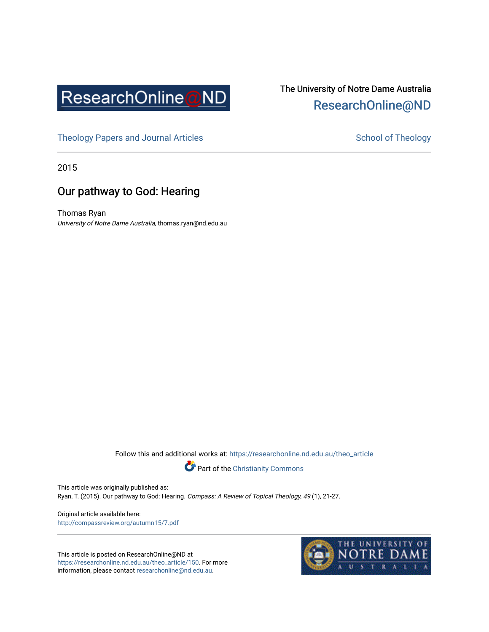

## The University of Notre Dame Australia [ResearchOnline@ND](https://researchonline.nd.edu.au/)

[Theology Papers and Journal Articles](https://researchonline.nd.edu.au/theo_article) and [School of Theology](https://researchonline.nd.edu.au/theo) School of Theology

2015

## Our pathway to God: Hearing

Thomas Ryan University of Notre Dame Australia, thomas.ryan@nd.edu.au

Follow this and additional works at: [https://researchonline.nd.edu.au/theo\\_article](https://researchonline.nd.edu.au/theo_article?utm_source=researchonline.nd.edu.au%2Ftheo_article%2F150&utm_medium=PDF&utm_campaign=PDFCoverPages) 



This article was originally published as:

Ryan, T. (2015). Our pathway to God: Hearing. Compass: A Review of Topical Theology, 49 (1), 21-27.

Original article available here: <http://compassreview.org/autumn15/7.pdf>

This article is posted on ResearchOnline@ND at [https://researchonline.nd.edu.au/theo\\_article/150](https://researchonline.nd.edu.au/theo_article/150). For more information, please contact [researchonline@nd.edu.au.](mailto:researchonline@nd.edu.au)

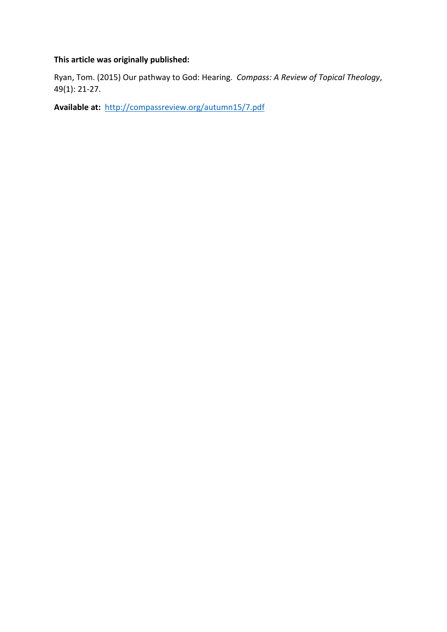### **This article was originally published:**

Ryan, Tom. (2015) Our pathway to God: Hearing. *Compass: A Review of Topical Theology*, 49(1): 21-27.

**Available at:** <http://compassreview.org/autumn15/7.pdf>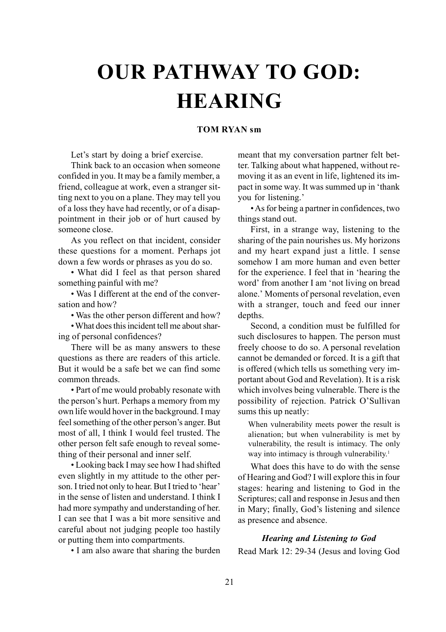# **OUR PATHWAY TO GOD: HEARING**

#### **TOM RYAN sm**

Let's start by doing a brief exercise.

Think back to an occasion when someone confided in you. It may be a family member, a friend, colleague at work, even a stranger sitting next to you on a plane. They may tell you of a loss they have had recently, or of a disappointment in their job or of hurt caused by someone close.

As you reflect on that incident, consider these questions for a moment. Perhaps jot down a few words or phrases as you do so.

• What did I feel as that person shared something painful with me?

• Was I different at the end of the conversation and how?

• Was the other person different and how?

• What does this incident tell me about sharing of personal confidences?

There will be as many answers to these questions as there are readers of this article. But it would be a safe bet we can find some common threads.

• Part of me would probably resonate with the person's hurt. Perhaps a memory from my own life would hover in the background. I may feel something of the other person's anger. But most of all, I think I would feel trusted. The other person felt safe enough to reveal something of their personal and inner self.

• Looking back I may see how I had shifted even slightly in my attitude to the other person. I tried not only to hear. But I tried to 'hear' in the sense of listen and understand. I think I had more sympathy and understanding of her. I can see that I was a bit more sensitive and careful about not judging people too hastily or putting them into compartments.

• I am also aware that sharing the burden

meant that my conversation partner felt better. Talking about what happened, without removing it as an event in life, lightened its impact in some way. It was summed up in 'thank you for listening.'

• As for being a partner in confidences, two things stand out.

First, in a strange way, listening to the sharing of the pain nourishes us. My horizons and my heart expand just a little. I sense somehow I am more human and even better for the experience. I feel that in 'hearing the word' from another I am 'not living on bread alone.' Moments of personal revelation, even with a stranger, touch and feed our inner depths.

Second, a condition must be fulfilled for such disclosures to happen. The person must freely choose to do so. A personal revelation cannot be demanded or forced. It is a gift that is offered (which tells us something very important about God and Revelation). It is a risk which involves being vulnerable. There is the possibility of rejection. Patrick O'Sullivan sums this up neatly:

When vulnerability meets power the result is alienation; but when vulnerability is met by vulnerability, the result is intimacy. The only way into intimacy is through vulnerability.<sup>1</sup>

What does this have to do with the sense of Hearing and God? I will explore this in four stages: hearing and listening to God in the Scriptures; call and response in Jesus and then in Mary; finally, God's listening and silence as presence and absence.

#### *Hearing and Listening to God*

Read Mark 12: 29-34 (Jesus and loving God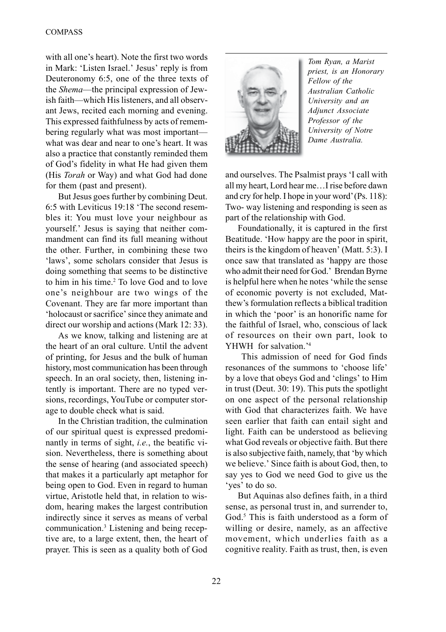with all one's heart). Note the first two words in Mark: 'Listen Israel.' Jesus' reply is from Deuteronomy 6:5, one of the three texts of the *Shema*—the principal expression of Jewish faith—which His listeners, and all observant Jews, recited each morning and evening. This expressed faithfulness by acts of remembering regularly what was most important what was dear and near to one's heart. It was also a practice that constantly reminded them of God's fidelity in what He had given them (His *Torah* or Way) and what God had done for them (past and present).

But Jesus goes further by combining Deut. 6:5 with Leviticus 19:18 'The second resembles it: You must love your neighbour as yourself.' Jesus is saying that neither commandment can find its full meaning without the other. Further, in combining these two 'laws', some scholars consider that Jesus is doing something that seems to be distinctive to him in his time.<sup>2</sup> To love God and to love one's neighbour are two wings of the Covenant. They are far more important than 'holocaust or sacrifice' since they animate and direct our worship and actions (Mark 12: 33).

As we know, talking and listening are at the heart of an oral culture. Until the advent of printing, for Jesus and the bulk of human history, most communication has been through speech. In an oral society, then, listening intently is important. There are no typed versions, recordings, YouTube or computer storage to double check what is said.

In the Christian tradition, the culmination of our spiritual quest is expressed predominantly in terms of sight, *i.e.*, the beatific vision. Nevertheless, there is something about the sense of hearing (and associated speech) that makes it a particularly apt metaphor for being open to God. Even in regard to human virtue, Aristotle held that, in relation to wisdom, hearing makes the largest contribution indirectly since it serves as means of verbal communication.3 Listening and being receptive are, to a large extent, then, the heart of prayer. This is seen as a quality both of God



*Tom Ryan, a Marist priest, is an Honorary Fellow of the Australian Catholic University and an Adjunct Associate Professor of the University of Notre Dame Australia.*

and ourselves. The Psalmist prays 'I call with all my heart, Lord hear me…I rise before dawn and cry for help. I hope in your word' (Ps. 118): Two- way listening and responding is seen as part of the relationship with God.

Foundationally, it is captured in the first Beatitude. 'How happy are the poor in spirit, theirs is the kingdom of heaven' (Matt. 5:3). I once saw that translated as 'happy are those who admit their need for God.' Brendan Byrne is helpful here when he notes 'while the sense of economic poverty is not excluded, Matthew's formulation reflects a biblical tradition in which the 'poor' is an honorific name for the faithful of Israel, who, conscious of lack of resources on their own part, look to YHWH for salvation.'4

 This admission of need for God finds resonances of the summons to 'choose life' by a love that obeys God and 'clings' to Him in trust (Deut. 30: 19). This puts the spotlight on one aspect of the personal relationship with God that characterizes faith. We have seen earlier that faith can entail sight and light. Faith can be understood as believing what God reveals or objective faith. But there is also subjective faith, namely, that 'by which we believe.' Since faith is about God, then, to say yes to God we need God to give us the 'yes' to do so.

But Aquinas also defines faith, in a third sense, as personal trust in, and surrender to, God.<sup>5</sup> This is faith understood as a form of willing or desire, namely, as an affective movement, which underlies faith as a cognitive reality. Faith as trust, then, is even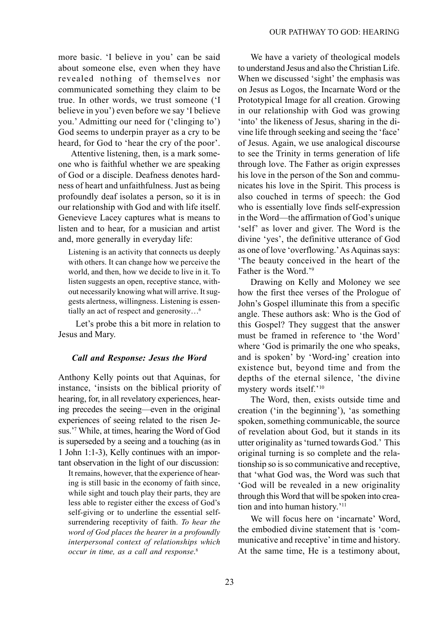more basic. 'I believe in you' can be said about someone else, even when they have revealed nothing of themselves nor communicated something they claim to be true. In other words, we trust someone ('I believe in you') even before we say 'I believe you.' Admitting our need for ('clinging to') God seems to underpin prayer as a cry to be heard, for God to 'hear the cry of the poor'.

Attentive listening, then, is a mark someone who is faithful whether we are speaking of God or a disciple. Deafness denotes hardness of heart and unfaithfulness. Just as being profoundly deaf isolates a person, so it is in our relationship with God and with life itself. Genevieve Lacey captures what is means to listen and to hear, for a musician and artist and, more generally in everyday life:

Listening is an activity that connects us deeply with others. It can change how we perceive the world, and then, how we decide to live in it. To listen suggests an open, receptive stance, without necessarily knowing what will arrive. It suggests alertness, willingness. Listening is essentially an act of respect and generosity…6

 Let's probe this a bit more in relation to Jesus and Mary.

#### *Call and Response: Jesus the Word*

Anthony Kelly points out that Aquinas, for instance, 'insists on the biblical priority of hearing, for, in all revelatory experiences, hearing precedes the seeing—even in the original experiences of seeing related to the risen Jesus.'7 While, at times, hearing the Word of God is superseded by a seeing and a touching (as in 1 John 1:1-3), Kelly continues with an important observation in the light of our discussion:

It remains, however, that the experience of hearing is still basic in the economy of faith since, while sight and touch play their parts, they are less able to register either the excess of God's self-giving or to underline the essential selfsurrendering receptivity of faith. *To hear the word of God places the hearer in a profoundly interpersonal context of relationships which occur in time, as a call and response*. 8

We have a variety of theological models to understand Jesus and also the Christian Life. When we discussed 'sight' the emphasis was on Jesus as Logos, the Incarnate Word or the Prototypical Image for all creation. Growing in our relationship with God was growing 'into' the likeness of Jesus, sharing in the divine life through seeking and seeing the 'face' of Jesus. Again, we use analogical discourse to see the Trinity in terms generation of life through love. The Father as origin expresses his love in the person of the Son and communicates his love in the Spirit. This process is also couched in terms of speech: the God who is essentially love finds self-expression in the Word—the affirmation of God's unique 'self' as lover and giver. The Word is the divine 'yes', the definitive utterance of God as one of love 'overflowing.' As Aquinas says: 'The beauty conceived in the heart of the Father is the Word.'9

Drawing on Kelly and Moloney we see how the first thee verses of the Prologue of John's Gospel illuminate this from a specific angle. These authors ask: Who is the God of this Gospel? They suggest that the answer must be framed in reference to 'the Word' where 'God is primarily the one who speaks, and is spoken' by 'Word-ing' creation into existence but, beyond time and from the depths of the eternal silence, 'the divine mystery words itself.'10

The Word, then, exists outside time and creation ('in the beginning'), 'as something spoken, something communicable, the source of revelation about God, but it stands in its utter originality as 'turned towards God.' This original turning is so complete and the relationship so is so communicative and receptive, that 'what God was, the Word was such that 'God will be revealed in a new originality through this Word that will be spoken into creation and into human history.'11

We will focus here on 'incarnate' Word, the embodied divine statement that is 'communicative and receptive' in time and history. At the same time, He is a testimony about,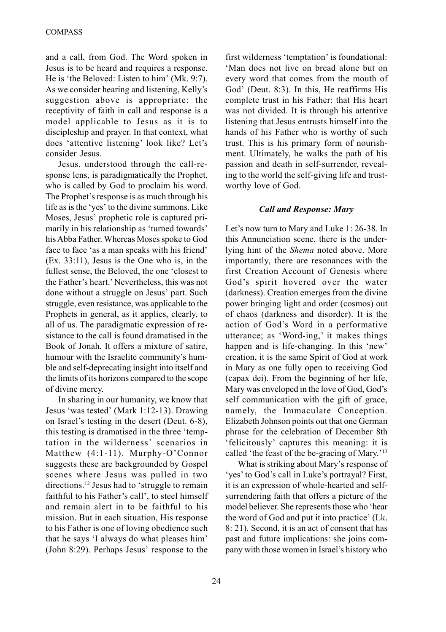and a call, from God. The Word spoken in Jesus is to be heard and requires a response. He is 'the Beloved: Listen to him' (Mk. 9:7). As we consider hearing and listening, Kelly's suggestion above is appropriate: the receptivity of faith in call and response is a model applicable to Jesus as it is to discipleship and prayer. In that context, what does 'attentive listening' look like? Let's consider Jesus.

Jesus, understood through the call-response lens, is paradigmatically the Prophet, who is called by God to proclaim his word. The Prophet's response is as much through his life as is the 'yes' to the divine summons. Like Moses, Jesus' prophetic role is captured primarily in his relationship as 'turned towards' his Abba Father. Whereas Moses spoke to God face to face 'as a man speaks with his friend' (Ex. 33:11), Jesus is the One who is, in the fullest sense, the Beloved, the one 'closest to the Father's heart.' Nevertheless, this was not done without a struggle on Jesus' part. Such struggle, even resistance, was applicable to the Prophets in general, as it applies, clearly, to all of us. The paradigmatic expression of resistance to the call is found dramatised in the Book of Jonah. It offers a mixture of satire, humour with the Israelite community's humble and self-deprecating insight into itself and the limits of its horizons compared to the scope of divine mercy.

In sharing in our humanity, we know that Jesus 'was tested' (Mark 1:12-13). Drawing on Israel's testing in the desert (Deut. 6-8), this testing is dramatised in the three 'temptation in the wilderness' scenarios in Matthew (4:1-11). Murphy-O'Connor suggests these are backgrounded by Gospel scenes where Jesus was pulled in two directions.12 Jesus had to 'struggle to remain faithful to his Father's call', to steel himself and remain alert in to be faithful to his mission. But in each situation, His response to his Father is one of loving obedience such that he says 'I always do what pleases him' (John 8:29). Perhaps Jesus' response to the

first wilderness 'temptation' is foundational: 'Man does not live on bread alone but on every word that comes from the mouth of God' (Deut. 8:3). In this, He reaffirms His complete trust in his Father: that His heart was not divided. It is through his attentive listening that Jesus entrusts himself into the hands of his Father who is worthy of such trust. This is his primary form of nourishment. Ultimately, he walks the path of his passion and death in self-surrender, revealing to the world the self-giving life and trustworthy love of God.

#### *Call and Response: Mary*

Let's now turn to Mary and Luke 1: 26-38. In this Annunciation scene, there is the underlying hint of the *Shema* noted above. More importantly, there are resonances with the first Creation Account of Genesis where God's spirit hovered over the water (darkness). Creation emerges from the divine power bringing light and order (cosmos) out of chaos (darkness and disorder). It is the action of God's Word in a performative utterance; as 'Word-ing,' it makes things happen and is life-changing. In this 'new' creation, it is the same Spirit of God at work in Mary as one fully open to receiving God (capax dei). From the beginning of her life, Mary was enveloped in the love of God, God's self communication with the gift of grace, namely, the Immaculate Conception. Elizabeth Johnson points out that one German phrase for the celebration of December 8th 'felicitously' captures this meaning: it is called 'the feast of the be-gracing of Mary.'13

What is striking about Mary's response of 'yes' to God's call in Luke's portrayal? First, it is an expression of whole-hearted and selfsurrendering faith that offers a picture of the model believer. She represents those who 'hear the word of God and put it into practice' (Lk. 8: 21). Second, it is an act of consent that has past and future implications: she joins company with those women in Israel's history who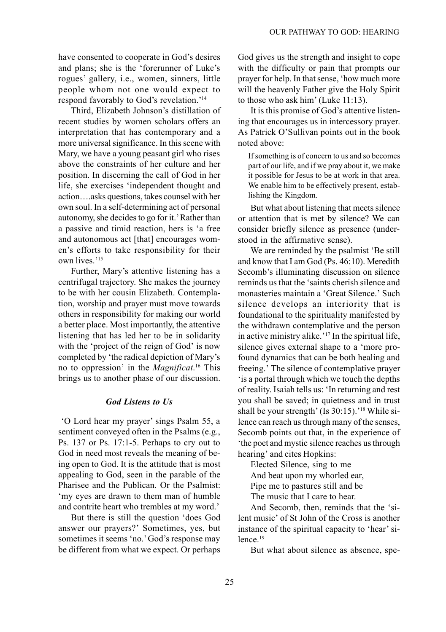have consented to cooperate in God's desires and plans; she is the 'forerunner of Luke's rogues' gallery, i.e., women, sinners, little people whom not one would expect to respond favorably to God's revelation.'14

Third, Elizabeth Johnson's distillation of recent studies by women scholars offers an interpretation that has contemporary and a more universal significance. In this scene with Mary, we have a young peasant girl who rises above the constraints of her culture and her position. In discerning the call of God in her life, she exercises 'independent thought and action….asks questions, takes counsel with her own soul. In a self-determining act of personal autonomy, she decides to go for it.' Rather than a passive and timid reaction, hers is 'a free and autonomous act [that] encourages women's efforts to take responsibility for their own lives.'15

Further, Mary's attentive listening has a centrifugal trajectory. She makes the journey to be with her cousin Elizabeth. Contemplation, worship and prayer must move towards others in responsibility for making our world a better place. Most importantly, the attentive listening that has led her to be in solidarity with the 'project of the reign of God' is now completed by 'the radical depiction of Mary's no to oppression' in the *Magnificat*. 16 This brings us to another phase of our discussion.

#### *God Listens to Us*

 'O Lord hear my prayer' sings Psalm 55, a sentiment conveyed often in the Psalms (e.g., Ps. 137 or Ps. 17:1-5. Perhaps to cry out to God in need most reveals the meaning of being open to God. It is the attitude that is most appealing to God, seen in the parable of the Pharisee and the Publican. Or the Psalmist: 'my eyes are drawn to them man of humble and contrite heart who trembles at my word.'

But there is still the question 'does God answer our prayers?' Sometimes, yes, but sometimes it seems 'no.' God's response may be different from what we expect. Or perhaps God gives us the strength and insight to cope with the difficulty or pain that prompts our prayer for help. In that sense, 'how much more will the heavenly Father give the Holy Spirit to those who ask him' (Luke 11:13).

It is this promise of God's attentive listening that encourages us in intercessory prayer. As Patrick O'Sullivan points out in the book noted above:

If something is of concern to us and so becomes part of our life, and if we pray about it, we make it possible for Jesus to be at work in that area. We enable him to be effectively present, establishing the Kingdom.

But what about listening that meets silence or attention that is met by silence? We can consider briefly silence as presence (understood in the affirmative sense).

We are reminded by the psalmist 'Be still and know that I am God (Ps. 46:10). Meredith Secomb's illuminating discussion on silence reminds us that the 'saints cherish silence and monasteries maintain a 'Great Silence.' Such silence develops an interiority that is foundational to the spirituality manifested by the withdrawn contemplative and the person in active ministry alike.'17 In the spiritual life, silence gives external shape to a 'more profound dynamics that can be both healing and freeing.' The silence of contemplative prayer 'is a portal through which we touch the depths of reality. Isaiah tells us: 'In returning and rest you shall be saved; in quietness and in trust shall be your strength' (Is 30:15).<sup>'18</sup> While silence can reach us through many of the senses, Secomb points out that, in the experience of 'the poet and mystic silence reaches us through hearing' and cites Hopkins:

Elected Silence, sing to me

And beat upon my whorled ear,

Pipe me to pastures still and be

The music that I care to hear.

And Secomb, then, reminds that the 'silent music' of St John of the Cross is another instance of the spiritual capacity to 'hear' silence.<sup>19</sup>

But what about silence as absence, spe-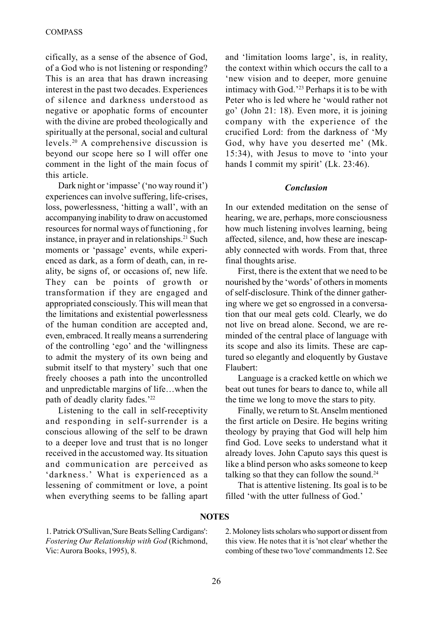cifically, as a sense of the absence of God, of a God who is not listening or responding? This is an area that has drawn increasing interest in the past two decades. Experiences of silence and darkness understood as negative or apophatic forms of encounter with the divine are probed theologically and spiritually at the personal, social and cultural levels.20 A comprehensive discussion is beyond our scope here so I will offer one comment in the light of the main focus of this article.

Dark night or 'impasse' ('no way round it') experiences can involve suffering, life-crises, loss, powerlessness, 'hitting a wall', with an accompanying inability to draw on accustomed resources for normal ways of functioning , for instance, in prayer and in relationships.<sup>21</sup> Such moments or 'passage' events, while experienced as dark, as a form of death, can, in reality, be signs of, or occasions of, new life. They can be points of growth or transformation if they are engaged and appropriated consciously. This will mean that the limitations and existential powerlessness of the human condition are accepted and, even, embraced. It really means a surrendering of the controlling 'ego' and the 'willingness to admit the mystery of its own being and submit itself to that mystery' such that one freely chooses a path into the uncontrolled and unpredictable margins of life…when the path of deadly clarity fades.'22

Listening to the call in self-receptivity and responding in self-surrender is a conscious allowing of the self to be drawn to a deeper love and trust that is no longer received in the accustomed way. Its situation and communication are perceived as 'darkness.' What is experienced as a lessening of commitment or love, a point when everything seems to be falling apart and 'limitation looms large', is, in reality, the context within which occurs the call to a 'new vision and to deeper, more genuine intimacy with God.'23 Perhaps it is to be with Peter who is led where he 'would rather not go' (John 21: 18). Even more, it is joining company with the experience of the crucified Lord: from the darkness of 'My God, why have you deserted me' (Mk. 15:34), with Jesus to move to 'into your hands I commit my spirit' (Lk. 23:46).

#### *Conclusion*

In our extended meditation on the sense of hearing, we are, perhaps, more consciousness how much listening involves learning, being affected, silence, and, how these are inescapably connected with words. From that, three final thoughts arise.

First, there is the extent that we need to be nourished by the 'words' of others in moments of self-disclosure. Think of the dinner gathering where we get so engrossed in a conversation that our meal gets cold. Clearly, we do not live on bread alone. Second, we are reminded of the central place of language with its scope and also its limits. These are captured so elegantly and eloquently by Gustave Flaubert:

Language is a cracked kettle on which we beat out tunes for bears to dance to, while all the time we long to move the stars to pity.

Finally, we return to St. Anselm mentioned the first article on Desire. He begins writing theology by praying that God will help him find God. Love seeks to understand what it already loves. John Caputo says this quest is like a blind person who asks someone to keep talking so that they can follow the sound.<sup>24</sup>

That is attentive listening. Its goal is to be filled 'with the utter fullness of God.'

#### **NOTES**

1. Patrick O'Sullivan,'Sure Beats Selling Cardigans': *Fostering Our Relationship with God* (Richmond, Vic: Aurora Books, 1995), 8.

2. Moloney lists scholars who support or dissent from this view. He notes that it is 'not clear' whether the combing of these two 'love' commandments 12. See